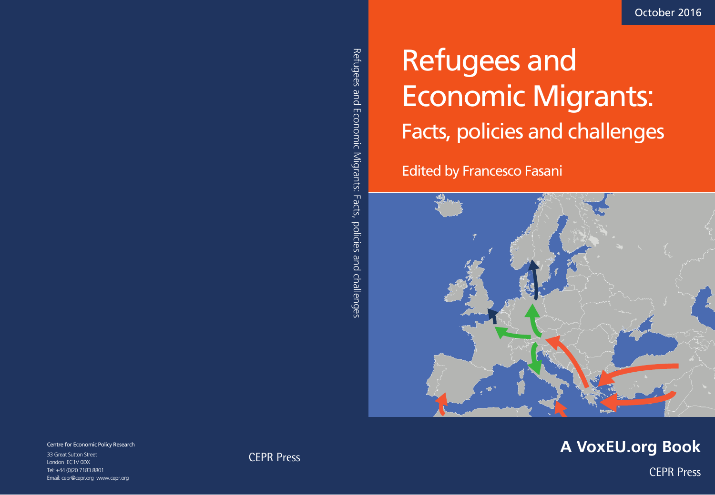# Refugees and Economic Migrants: Facts, policies and challenges

Edited by Francesco Fasani



## **A VoxEU.org Book**

CEPR Press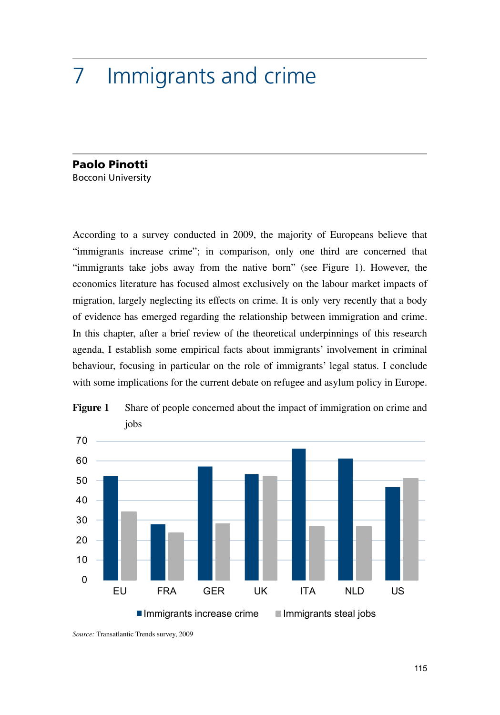### 7 Immigrants and crime

#### Paolo Pinotti Bocconi University

According to a survey conducted in 2009, the majority of Europeans believe that "immigrants increase crime"; in comparison, only one third are concerned that "immigrants take jobs away from the native born" (see Figure 1). However, the economics literature has focused almost exclusively on the labour market impacts of migration, largely neglecting its effects on crime. It is only very recently that a body of evidence has emerged regarding the relationship between immigration and crime. In this chapter, after a brief review of the theoretical underpinnings of this research agenda, I establish some empirical facts about immigrants' involvement in criminal behaviour, focusing in particular on the role of immigrants' legal status. I conclude with some implications for the current debate on refugee and asylum policy in Europe.





*Source:* Transatlantic Trends survey, 2009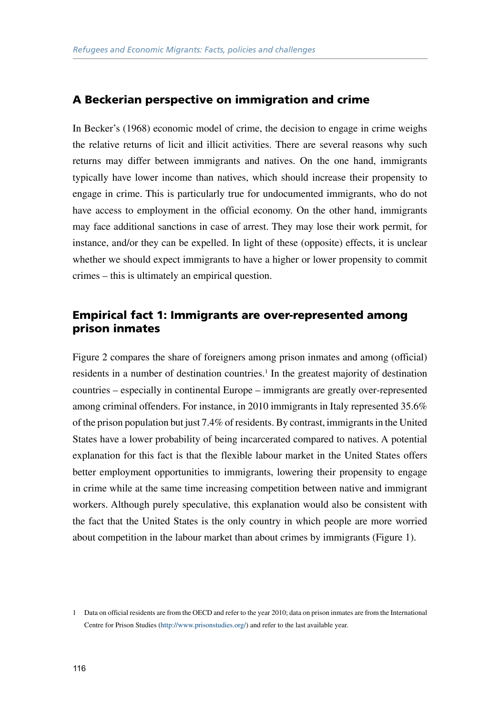#### A Beckerian perspective on immigration and crime

In Becker's (1968) economic model of crime, the decision to engage in crime weighs the relative returns of licit and illicit activities. There are several reasons why such returns may differ between immigrants and natives. On the one hand, immigrants typically have lower income than natives, which should increase their propensity to engage in crime. This is particularly true for undocumented immigrants, who do not have access to employment in the official economy. On the other hand, immigrants may face additional sanctions in case of arrest. They may lose their work permit, for instance, and/or they can be expelled. In light of these (opposite) effects, it is unclear whether we should expect immigrants to have a higher or lower propensity to commit crimes – this is ultimately an empirical question.

#### Empirical fact 1: Immigrants are over-represented among prison inmates

Figure 2 compares the share of foreigners among prison inmates and among (official) residents in a number of destination countries.<sup>1</sup> In the greatest majority of destination countries – especially in continental Europe – immigrants are greatly over-represented among criminal offenders. For instance, in 2010 immigrants in Italy represented 35.6% of the prison population but just 7.4% of residents. By contrast, immigrants in the United States have a lower probability of being incarcerated compared to natives. A potential explanation for this fact is that the flexible labour market in the United States offers better employment opportunities to immigrants, lowering their propensity to engage in crime while at the same time increasing competition between native and immigrant workers. Although purely speculative, this explanation would also be consistent with the fact that the United States is the only country in which people are more worried about competition in the labour market than about crimes by immigrants (Figure 1).

<sup>1</sup> Data on official residents are from the OECD and refer to the year 2010; data on prison inmates are from the International Centre for Prison Studies ([http://www.prisonstudies.org/\)](http://www.prisonstudies.org/) and refer to the last available year.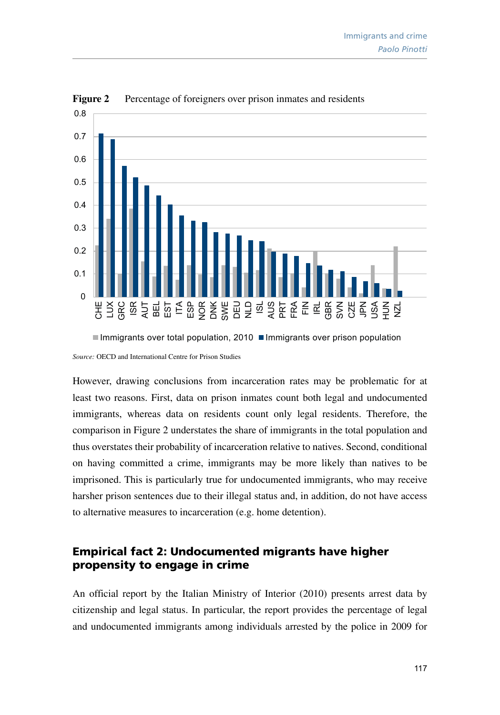

Figure 2 Percentage of foreigners over prison inmates and residents

*Source:* OECD and International Centre for Prison Studies

However, drawing conclusions from incarceration rates may be problematic for at least two reasons. First, data on prison inmates count both legal and undocumented immigrants, whereas data on residents count only legal residents. Therefore, the comparison in Figure 2 understates the share of immigrants in the total population and thus overstates their probability of incarceration relative to natives. Second, conditional on having committed a crime, immigrants may be more likely than natives to be imprisoned. This is particularly true for undocumented immigrants, who may receive harsher prison sentences due to their illegal status and, in addition, do not have access to alternative measures to incarceration (e.g. home detention).

#### Empirical fact 2: Undocumented migrants have higher propensity to engage in crime

An official report by the Italian Ministry of Interior (2010) presents arrest data by citizenship and legal status. In particular, the report provides the percentage of legal and undocumented immigrants among individuals arrested by the police in 2009 for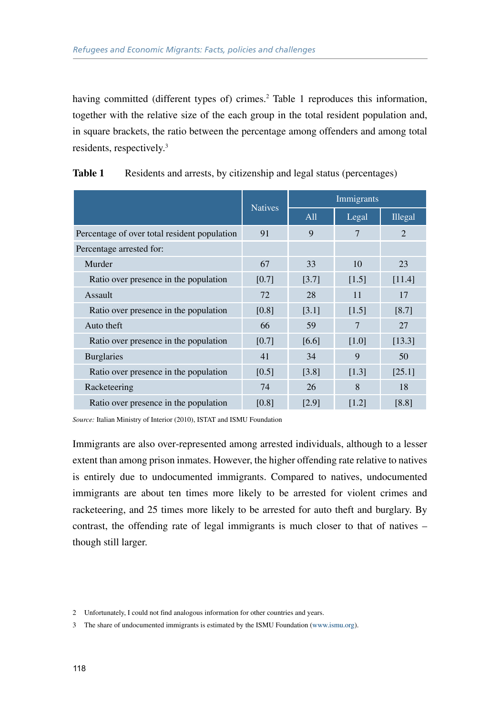having committed (different types of) crimes.<sup>2</sup> Table 1 reproduces this information, together with the relative size of the each group in the total resident population and, in square brackets, the ratio between the percentage among offenders and among total residents, respectively.3

|                                              | <b>Natives</b> | Immigrants  |             |                             |
|----------------------------------------------|----------------|-------------|-------------|-----------------------------|
|                                              |                | All         | Legal       | <b>Illegal</b>              |
| Percentage of over total resident population | 91             | $\mathbf Q$ | 7           | $\mathcal{D}_{\mathcal{L}}$ |
| Percentage arrested for:                     |                |             |             |                             |
| Murder                                       | 67             | 33          | 10          | 23                          |
| Ratio over presence in the population        | [0.7]          | [3.7]       | [1.5]       | [11.4]                      |
| <b>Assault</b>                               | 72             | 28          | 11          | 17                          |
| Ratio over presence in the population        | [0.8]          | [3.1]       | [1.5]       | [8.7]                       |
| Auto theft                                   | 66             | 59          | 7           | 27                          |
| Ratio over presence in the population        | [0.7]          | [6.6]       | [1.0]       | [13.3]                      |
| <b>Burglaries</b>                            | 41             | 34          | $\mathbf Q$ | 50                          |
| Ratio over presence in the population        | [0.5]          | [3.8]       | $[1.3]$     | [25.1]                      |
| Racketeering                                 | 74             | 26          | 8           | 18                          |
| Ratio over presence in the population        | [0.8]          | [2.9]       | [1.2]       | [8.8]                       |

| Table 1 |  | Residents and arrests, by citizenship and legal status (percentages) |  |  |
|---------|--|----------------------------------------------------------------------|--|--|
|---------|--|----------------------------------------------------------------------|--|--|

*Source:* Italian Ministry of Interior (2010), ISTAT and ISMU Foundation

Immigrants are also over-represented among arrested individuals, although to a lesser extent than among prison inmates. However, the higher offending rate relative to natives is entirely due to undocumented immigrants. Compared to natives, undocumented immigrants are about ten times more likely to be arrested for violent crimes and racketeering, and 25 times more likely to be arrested for auto theft and burglary. By contrast, the offending rate of legal immigrants is much closer to that of natives – though still larger.

<sup>2</sup> Unfortunately, I could not find analogous information for other countries and years.

<sup>3</sup> The share of undocumented immigrants is estimated by the ISMU Foundation ([www.ismu.org\)](http://www.ismu.org).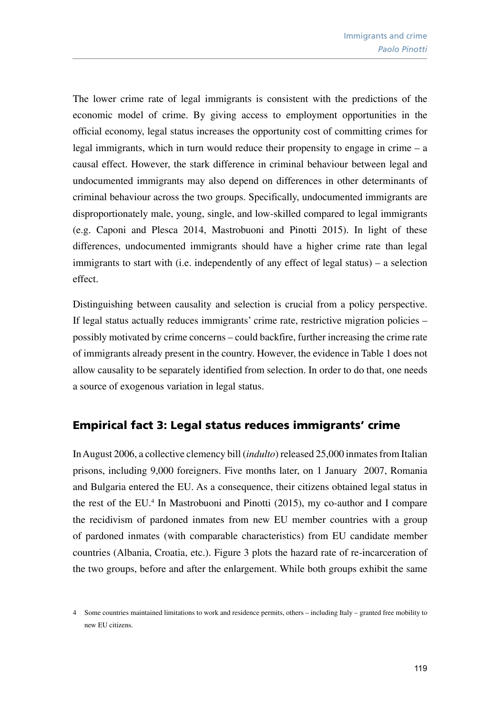The lower crime rate of legal immigrants is consistent with the predictions of the economic model of crime. By giving access to employment opportunities in the official economy, legal status increases the opportunity cost of committing crimes for legal immigrants, which in turn would reduce their propensity to engage in crime – a causal effect. However, the stark difference in criminal behaviour between legal and undocumented immigrants may also depend on differences in other determinants of criminal behaviour across the two groups. Specifically, undocumented immigrants are disproportionately male, young, single, and low-skilled compared to legal immigrants (e.g. Caponi and Plesca 2014, Mastrobuoni and Pinotti 2015). In light of these differences, undocumented immigrants should have a higher crime rate than legal immigrants to start with (i.e. independently of any effect of legal status) – a selection effect.

Distinguishing between causality and selection is crucial from a policy perspective. If legal status actually reduces immigrants' crime rate, restrictive migration policies – possibly motivated by crime concerns – could backfire, further increasing the crime rate of immigrants already present in the country. However, the evidence in Table 1 does not allow causality to be separately identified from selection. In order to do that, one needs a source of exogenous variation in legal status.

#### Empirical fact 3: Legal status reduces immigrants' crime

In August 2006, a collective clemency bill (*indulto*) released 25,000 inmates from Italian prisons, including 9,000 foreigners. Five months later, on 1 January 2007, Romania and Bulgaria entered the EU. As a consequence, their citizens obtained legal status in the rest of the EU.<sup>4</sup> In Mastrobuoni and Pinotti (2015), my co-author and I compare the recidivism of pardoned inmates from new EU member countries with a group of pardoned inmates (with comparable characteristics) from EU candidate member countries (Albania, Croatia, etc.). Figure 3 plots the hazard rate of re-incarceration of the two groups, before and after the enlargement. While both groups exhibit the same

<sup>4</sup> Some countries maintained limitations to work and residence permits, others – including Italy – granted free mobility to new EU citizens.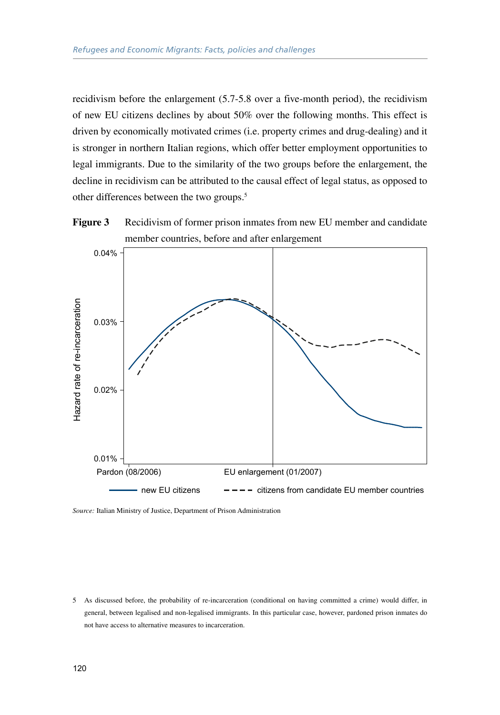recidivism before the enlargement (5.7-5.8 over a five-month period), the recidivism of new EU citizens declines by about 50% over the following months. This effect is driven by economically motivated crimes (i.e. property crimes and drug-dealing) and it is stronger in northern Italian regions, which offer better employment opportunities to legal immigrants. Due to the similarity of the two groups before the enlargement, the decline in recidivism can be attributed to the causal effect of legal status, as opposed to other differences between the two groups.5





*Source:* Italian Ministry of Justice, Department of Prison Administration

5 As discussed before, the probability of re-incarceration (conditional on having committed a crime) would differ, in general, between legalised and non-legalised immigrants. In this particular case, however, pardoned prison inmates do not have access to alternative measures to incarceration.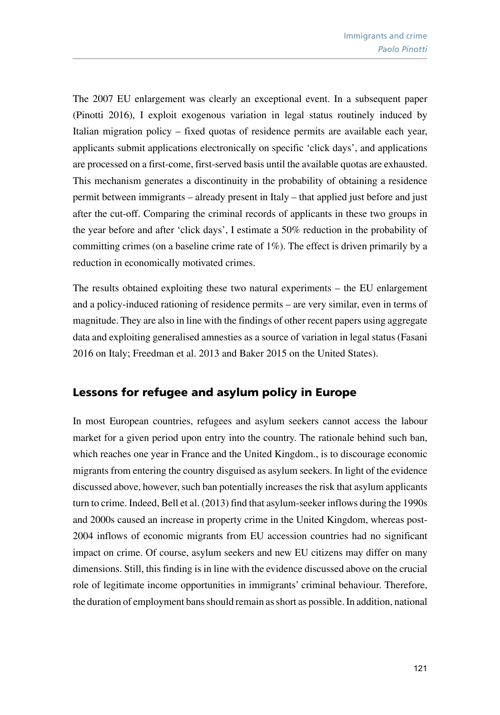The 2007 EU enlargement was clearly an exceptional event. In a subsequent paper (Pinotti 2016), I exploit exogenous variation in legal status routinely induced by Italian migration policy – fixed quotas of residence permits are available each year, applicants submit applications electronically on specific 'click days', and applications are processed on a first-come, first-served basis until the available quotas are exhausted. This mechanism generates a discontinuity in the probability of obtaining a residence permit between immigrants – already present in Italy – that applied just before and just after the cut-off. Comparing the criminal records of applicants in these two groups in the year before and after 'click days', I estimate a 50% reduction in the probability of committing crimes (on a baseline crime rate of 1%). The effect is driven primarily by a reduction in economically motivated crimes.

The results obtained exploiting these two natural experiments – the EU enlargement and a policy-induced rationing of residence permits – are very similar, even in terms of magnitude. They are also in line with the findings of other recent papers using aggregate data and exploiting generalised amnesties as a source of variation in legal status (Fasani 2016 on Italy; Freedman et al. 2013 and Baker 2015 on the United States).

#### Lessons for refugee and asylum policy in Europe

In most European countries, refugees and asylum seekers cannot access the labour market for a given period upon entry into the country. The rationale behind such ban, which reaches one year in France and the United Kingdom., is to discourage economic migrants from entering the country disguised as asylum seekers. In light of the evidence discussed above, however, such ban potentially increases the risk that asylum applicants turn to crime. Indeed, Bell et al. (2013) find that asylum-seeker inflows during the 1990s and 2000s caused an increase in property crime in the United Kingdom, whereas post-2004 inflows of economic migrants from EU accession countries had no significant impact on crime. Of course, asylum seekers and new EU citizens may differ on many dimensions. Still, this finding is in line with the evidence discussed above on the crucial role of legitimate income opportunities in immigrants' criminal behaviour. Therefore, the duration of employment bans should remain as short as possible. In addition, national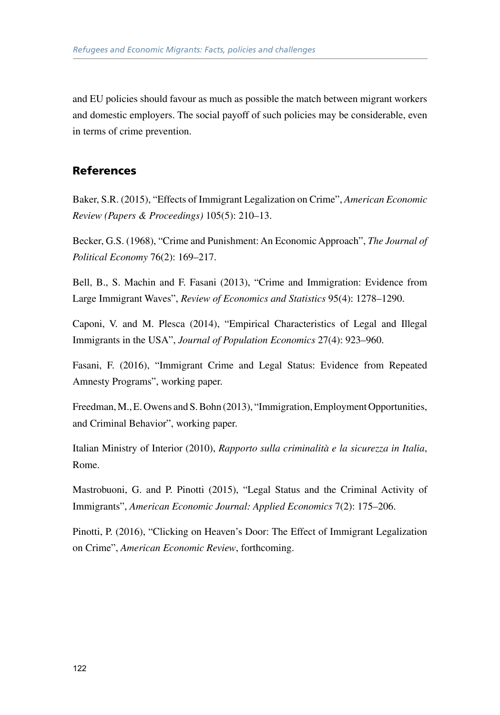and EU policies should favour as much as possible the match between migrant workers and domestic employers. The social payoff of such policies may be considerable, even in terms of crime prevention.

#### References

Baker, S.R. (2015), "Effects of Immigrant Legalization on Crime", *American Economic Review (Papers & Proceedings)* 105(5): 210–13.

Becker, G.S. (1968), "Crime and Punishment: An Economic Approach", *The Journal of Political Economy* 76(2): 169–217.

Bell, B., S. Machin and F. Fasani (2013), "Crime and Immigration: Evidence from Large Immigrant Waves", *Review of Economics and Statistics* 95(4): 1278–1290.

Caponi, V. and M. Plesca (2014), "Empirical Characteristics of Legal and Illegal Immigrants in the USA", *Journal of Population Economics* 27(4): 923–960.

Fasani, F. (2016), "Immigrant Crime and Legal Status: Evidence from Repeated Amnesty Programs", working paper.

Freedman, M., E. Owens and S. Bohn (2013), "Immigration, Employment Opportunities, and Criminal Behavior", working paper.

Italian Ministry of Interior (2010), *Rapporto sulla criminalità e la sicurezza in Italia*, Rome.

Mastrobuoni, G. and P. Pinotti (2015), "Legal Status and the Criminal Activity of Immigrants", *American Economic Journal: Applied Economics* 7(2): 175–206.

Pinotti, P. (2016), "Clicking on Heaven's Door: The Effect of Immigrant Legalization on Crime", *American Economic Review*, forthcoming.